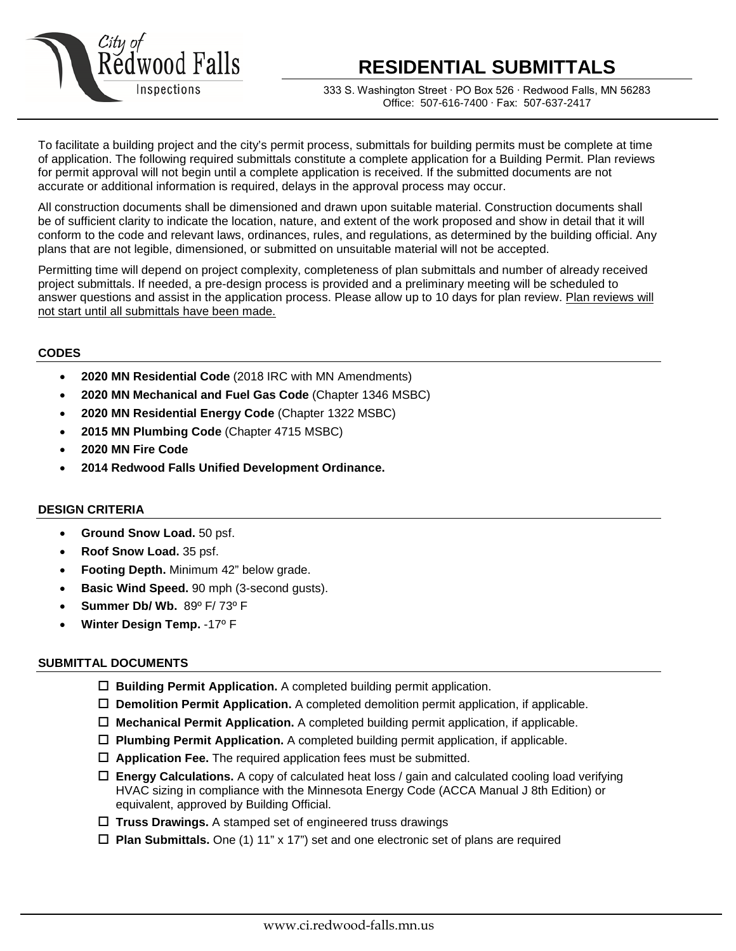

# **RESIDENTIAL SUBMITTALS**

333 S. Washington Street ∙ PO Box 526 ∙ Redwood Falls, MN 56283 Office: 507-616-7400 ∙ Fax: 507-637-2417

To facilitate a building project and the city's permit process, submittals for building permits must be complete at time of application. The following required submittals constitute a complete application for a Building Permit. Plan reviews for permit approval will not begin until a complete application is received. If the submitted documents are not accurate or additional information is required, delays in the approval process may occur.

All construction documents shall be dimensioned and drawn upon suitable material. Construction documents shall be of sufficient clarity to indicate the location, nature, and extent of the work proposed and show in detail that it will conform to the code and relevant laws, ordinances, rules, and regulations, as determined by the building official. Any plans that are not legible, dimensioned, or submitted on unsuitable material will not be accepted.

Permitting time will depend on project complexity, completeness of plan submittals and number of already received project submittals. If needed, a pre-design process is provided and a preliminary meeting will be scheduled to answer questions and assist in the application process. Please allow up to 10 days for plan review. Plan reviews will not start until all submittals have been made.

## **CODES**

- **2020 MN Residential Code** (2018 IRC with MN Amendments)
- **2020 MN Mechanical and Fuel Gas Code** (Chapter 1346 MSBC)
- **2020 MN Residential Energy Code** (Chapter 1322 MSBC)
- **2015 MN Plumbing Code** (Chapter 4715 MSBC)
- **2020 MN Fire Code**
- **2014 Redwood Falls Unified Development Ordinance.**

#### **DESIGN CRITERIA**

- **Ground Snow Load.** 50 psf.
- **Roof Snow Load.** 35 psf.
- **Footing Depth.** Minimum 42" below grade.
- **Basic Wind Speed.** 90 mph (3-second gusts).
- **Summer Db/ Wb.** 89º F/ 73º F
- **Winter Design Temp.** -17º F

#### **SUBMITTAL DOCUMENTS**

- **Building Permit Application.** A completed building permit application.
- **Demolition Permit Application.** A completed demolition permit application, if applicable.
- **Mechanical Permit Application.** A completed building permit application, if applicable.
- **Plumbing Permit Application.** A completed building permit application, if applicable.
- **Application Fee.** The required application fees must be submitted.
- **Energy Calculations.** A copy of calculated heat loss / gain and calculated cooling load verifying HVAC sizing in compliance with the Minnesota Energy Code (ACCA Manual J 8th Edition) or equivalent, approved by Building Official.
- **Truss Drawings.** A stamped set of engineered truss drawings
- **Plan Submittals.** One (1) 11" x 17") set and one electronic set of plans are required